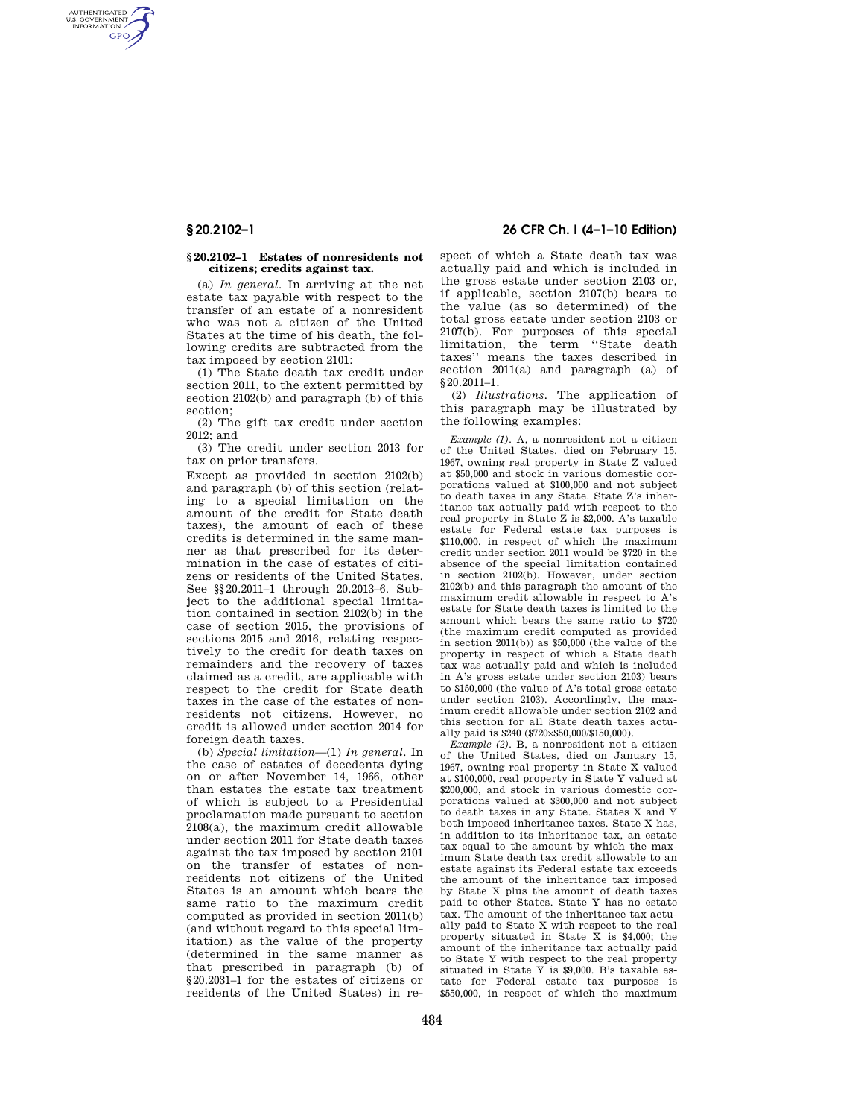AUTHENTICATED<br>U.S. GOVERNMENT<br>INFORMATION **GPO** 

## **§ 20.2102–1 Estates of nonresidents not citizens; credits against tax.**

(a) *In general.* In arriving at the net estate tax payable with respect to the transfer of an estate of a nonresident who was not a citizen of the United States at the time of his death, the following credits are subtracted from the tax imposed by section 2101:

(1) The State death tax credit under section 2011, to the extent permitted by section 2102(b) and paragraph (b) of this section;

(2) The gift tax credit under section 2012; and

(3) The credit under section 2013 for tax on prior transfers.

Except as provided in section 2102(b) and paragraph (b) of this section (relating to a special limitation on the amount of the credit for State death taxes), the amount of each of these credits is determined in the same manner as that prescribed for its determination in the case of estates of citizens or residents of the United States. See §§20.2011–1 through 20.2013–6. Subject to the additional special limitation contained in section 2102(b) in the case of section 2015, the provisions of sections 2015 and 2016, relating respectively to the credit for death taxes on remainders and the recovery of taxes claimed as a credit, are applicable with respect to the credit for State death taxes in the case of the estates of nonresidents not citizens. However, no credit is allowed under section 2014 for foreign death taxes.

(b) *Special limitation*—(1) *In general.* In the case of estates of decedents dying on or after November 14, 1966, other than estates the estate tax treatment of which is subject to a Presidential proclamation made pursuant to section 2108(a), the maximum credit allowable under section 2011 for State death taxes against the tax imposed by section 2101 on the transfer of estates of nonresidents not citizens of the United States is an amount which bears the same ratio to the maximum credit computed as provided in section 2011(b) (and without regard to this special limitation) as the value of the property (determined in the same manner as that prescribed in paragraph (b) of §20.2031–1 for the estates of citizens or residents of the United States) in re-

# **§ 20.2102–1 26 CFR Ch. I (4–1–10 Edition)**

spect of which a State death tax was actually paid and which is included in the gross estate under section 2103 or, if applicable, section 2107(b) bears to the value (as so determined) of the total gross estate under section 2103 or 2107(b). For purposes of this special limitation, the term ''State death taxes'' means the taxes described in section 2011(a) and paragraph (a) of §20.2011–1.

(2) *Illustrations.* The application of this paragraph may be illustrated by the following examples:

*Example (1).* A, a nonresident not a citizen of the United States, died on February 15, 1967, owning real property in State Z valued at \$50,000 and stock in various domestic corporations valued at \$100,000 and not subject to death taxes in any State. State Z's inheritance tax actually paid with respect to the real property in State Z is \$2,000. A's taxable estate for Federal estate tax purposes is \$110,000, in respect of which the maximum credit under section 2011 would be \$720 in the absence of the special limitation contained in section 2102(b). However, under section 2102(b) and this paragraph the amount of the maximum credit allowable in respect to A's estate for State death taxes is limited to the amount which bears the same ratio to \$720 (the maximum credit computed as provided in section 2011(b)) as \$50,000 (the value of the property in respect of which a State death tax was actually paid and which is included in A's gross estate under section 2103) bears to \$150,000 (the value of A's total gross estate under section 2103). Accordingly, the maximum credit allowable under section 2102 and this section for all State death taxes actually paid is \$240 (\$720×\$50,000/\$150,000).

*Example (2).* B, a nonresident not a citizen of the United States, died on January 15, 1967, owning real property in State X valued at \$100,000, real property in State Y valued at \$200,000, and stock in various domestic corporations valued at \$300,000 and not subject to death taxes in any State. States X and Y both imposed inheritance taxes. State X has, in addition to its inheritance tax, an estate tax equal to the amount by which the maximum State death tax credit allowable to an estate against its Federal estate tax exceeds the amount of the inheritance tax imposed by State X plus the amount of death taxes paid to other States. State Y has no estate tax. The amount of the inheritance tax actually paid to State X with respect to the real property situated in State  $\bar{X}$  is \$4,000; the amount of the inheritance tax actually paid to State Y with respect to the real property situated in State Y is \$9,000. B's taxable estate for Federal estate tax purposes is \$550,000, in respect of which the maximum